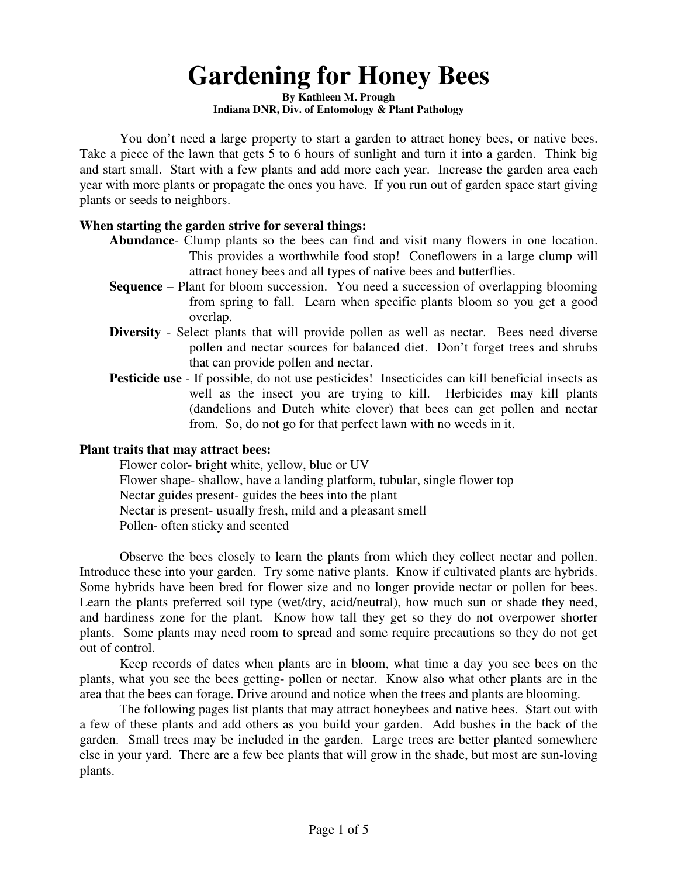## **Gardening for Honey Bees**

**By Kathleen M. Prough Indiana DNR, Div. of Entomology & Plant Pathology** 

You don't need a large property to start a garden to attract honey bees, or native bees. Take a piece of the lawn that gets 5 to 6 hours of sunlight and turn it into a garden. Think big and start small. Start with a few plants and add more each year. Increase the garden area each year with more plants or propagate the ones you have. If you run out of garden space start giving plants or seeds to neighbors.

## **When starting the garden strive for several things:**

- **Abundance** Clump plants so the bees can find and visit many flowers in one location. This provides a worthwhile food stop! Coneflowers in a large clump will attract honey bees and all types of native bees and butterflies.
- **Sequence**  Plant for bloom succession. You need a succession of overlapping blooming from spring to fall. Learn when specific plants bloom so you get a good overlap.
- **Diversity** Select plants that will provide pollen as well as nectar. Bees need diverse pollen and nectar sources for balanced diet. Don't forget trees and shrubs that can provide pollen and nectar.
- **Pesticide use** If possible, do not use pesticides! Insecticides can kill beneficial insects as well as the insect you are trying to kill. Herbicides may kill plants (dandelions and Dutch white clover) that bees can get pollen and nectar from. So, do not go for that perfect lawn with no weeds in it.

## **Plant traits that may attract bees:**

 Flower color- bright white, yellow, blue or UV Flower shape- shallow, have a landing platform, tubular, single flower top Nectar guides present- guides the bees into the plant Nectar is present- usually fresh, mild and a pleasant smell Pollen- often sticky and scented

Observe the bees closely to learn the plants from which they collect nectar and pollen. Introduce these into your garden. Try some native plants. Know if cultivated plants are hybrids. Some hybrids have been bred for flower size and no longer provide nectar or pollen for bees. Learn the plants preferred soil type (wet/dry, acid/neutral), how much sun or shade they need, and hardiness zone for the plant. Know how tall they get so they do not overpower shorter plants. Some plants may need room to spread and some require precautions so they do not get out of control.

Keep records of dates when plants are in bloom, what time a day you see bees on the plants, what you see the bees getting- pollen or nectar. Know also what other plants are in the area that the bees can forage. Drive around and notice when the trees and plants are blooming.

The following pages list plants that may attract honeybees and native bees. Start out with a few of these plants and add others as you build your garden. Add bushes in the back of the garden. Small trees may be included in the garden. Large trees are better planted somewhere else in your yard. There are a few bee plants that will grow in the shade, but most are sun-loving plants.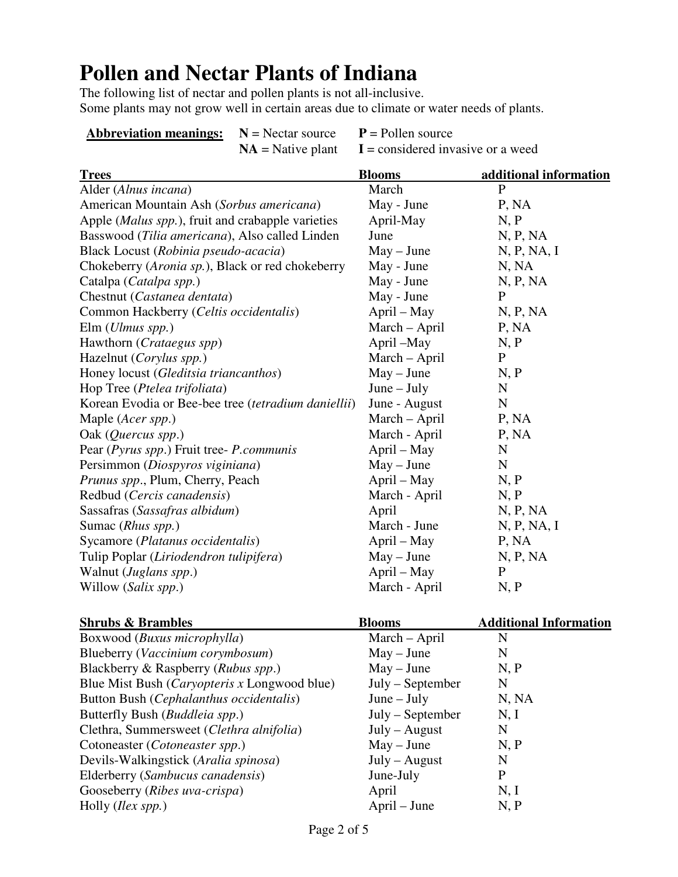## **Pollen and Nectar Plants of Indiana**

The following list of nectar and pollen plants is not all-inclusive. Some plants may not grow well in certain areas due to climate or water needs of plants.

| <b>Abbreviation meanings:</b> $N = \text{Nectar source}$ $P = PQ$ |                                                                                                                                                                                                                                                                                                  |  |
|-------------------------------------------------------------------|--------------------------------------------------------------------------------------------------------------------------------------------------------------------------------------------------------------------------------------------------------------------------------------------------|--|
|                                                                   | $\mathbf{M}$ and $\mathbf{M}$ and $\mathbf{M}$ and $\mathbf{M}$ are $\mathbf{M}$ and $\mathbf{M}$ are $\mathbf{M}$ and $\mathbf{M}$ are $\mathbf{M}$ and $\mathbf{M}$ are $\mathbf{M}$ and $\mathbf{M}$ are $\mathbf{M}$ and $\mathbf{M}$ are $\mathbf{M}$ and $\mathbf{M}$ are $\mathbf{M}$ are |  |

**Abbreviate** source  $NA =$  Native plant  $I =$  considered invasive or a weed

| <b>Trees</b>                                                 | <b>Blooms</b> | additional information |
|--------------------------------------------------------------|---------------|------------------------|
| Alder (Alnus incana)                                         | March         | P                      |
| American Mountain Ash (Sorbus americana)                     | May - June    | P, NA                  |
| Apple (Malus spp.), fruit and crabapple varieties            | April-May     | N, P                   |
| Basswood (Tilia americana), Also called Linden               | June          | N, P, NA               |
| Black Locust (Robinia pseudo-acacia)                         | $May - June$  | N, P, NA, I            |
| Chokeberry (Aronia sp.), Black or red chokeberry             | May - June    | N, NA                  |
| Catalpa (Catalpa spp.)                                       | May - June    | N, P, NA               |
| Chestnut (Castanea dentata)                                  | May - June    | P                      |
| Common Hackberry (Celtis occidentalis)                       | April – May   | N, P, NA               |
| $Elm$ ( <i>Ulmus spp.</i> )                                  | March – April | P, NA                  |
| Hawthorn (Crataegus spp)                                     | April -May    | N, P                   |
| Hazelnut (Corylus spp.)                                      | March – April | P                      |
| Honey locust (Gleditsia triancanthos)                        | $May - June$  | N, P                   |
| Hop Tree (Ptelea trifoliata)                                 | $June - July$ | $\mathbf N$            |
| Korean Evodia or Bee-bee tree ( <i>tetradium daniellii</i> ) | June - August | $\mathbf N$            |
| Maple ( <i>Acer spp.</i> )                                   | March - April | P, NA                  |
| Oak $(Quercus$ spp.)                                         | March - April | P, NA                  |
| Pear (Pyrus spp.) Fruit tree- P.communis                     | April – May   | $\mathbf N$            |
| Persimmon (Diospyros viginiana)                              | $May - June$  | $\mathbf N$            |
| Prunus spp., Plum, Cherry, Peach                             | April – May   | N, P                   |
| Redbud (Cercis canadensis)                                   | March - April | N, P                   |
| Sassafras (Sassafras albidum)                                | April         | N, P, NA               |
| Sumac (Rhus spp.)                                            | March - June  | N, P, NA, I            |
| Sycamore (Platanus occidentalis)                             | April – May   | P, NA                  |
| Tulip Poplar (Liriodendron tulipifera)                       | $May - June$  | N, P, NA               |
| Walnut (Juglans spp.)                                        | April – May   | P                      |
| Willow (Salix spp.)                                          | March - April | N, P                   |

| <b>Shrubs &amp; Brambles</b>                         | <b>Blooms</b>      | <b>Additional Information</b> |
|------------------------------------------------------|--------------------|-------------------------------|
| Boxwood ( <i>Buxus microphylla</i> )                 | March – April      | N                             |
| Blueberry (Vaccinium corymbosum)                     | $May - June$       | N                             |
| Blackberry & Raspberry (Rubus spp.)                  | $May - June$       | N, P                          |
| Blue Mist Bush ( <i>Caryopteris x</i> Longwood blue) | $July - September$ | N                             |
| Button Bush (Cephalanthus occidentalis)              | $June - July$      | N, NA                         |
| Butterfly Bush ( <i>Buddleia spp.</i> )              | July – September   | N, I                          |
| Clethra, Summersweet (Clethra alnifolia)             | $July - August$    | N                             |
| Cotoneaster ( <i>Cotoneaster spp.</i> )              | $May - June$       | N, P                          |
| Devils-Walkingstick (Aralia spinosa)                 | $July - August$    | N                             |
| Elderberry (Sambucus canadensis)                     | June-July          | P                             |
| Gooseberry (Ribes uva-crispa)                        | April              | N, I                          |
| Holly <i>(Ilex spp.)</i>                             | April – June       | N, P                          |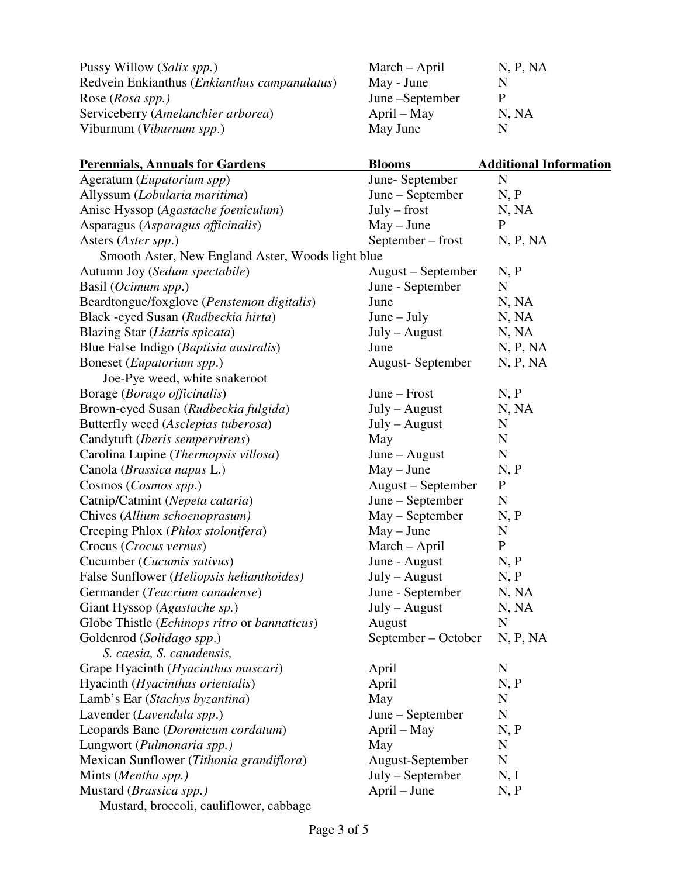| Pussy Willow (Salix spp.)                             | March – April   | N, P, NA |
|-------------------------------------------------------|-----------------|----------|
| Redvein Enkianthus ( <i>Enkianthus campanulatus</i> ) | May - June      |          |
| Rose ( <i>Rosa spp.</i> )                             | June –September | P        |
| Serviceberry (Amelanchier arborea)                    | April – May     | N, NA    |
| Viburnum ( <i>Viburnum spp.</i> )                     | May June        | N        |

| <b>Perennials, Annuals for Gardens</b>            | <b>Blooms</b>           | <b>Additional Information</b> |
|---------------------------------------------------|-------------------------|-------------------------------|
| Ageratum (Eupatorium spp)                         | June-September          | ${\bf N}$                     |
| Allyssum (Lobularia maritima)                     | June – September        | N, P                          |
| Anise Hyssop (Agastache foeniculum)               | $July - first$          | N, NA                         |
| Asparagus (Asparagus officinalis)                 | $May - June$            | $\mathbf{P}$                  |
| Asters (Aster spp.)                               | September – frost       | N, P, NA                      |
| Smooth Aster, New England Aster, Woods light blue |                         |                               |
| Autumn Joy (Sedum spectabile)                     | August – September      | N, P                          |
| Basil ( <i>Ocimum spp.</i> )                      | June - September        | $\mathbf N$                   |
| Beardtongue/foxglove (Penstemon digitalis)        | June                    | N, NA                         |
| Black -eyed Susan (Rudbeckia hirta)               | $June - July$           | N, NA                         |
| Blazing Star (Liatris spicata)                    | $July - August$         | N, NA                         |
| Blue False Indigo (Baptisia australis)            | June                    | N, P, NA                      |
| Boneset ( <i>Eupatorium spp.</i> )                | <b>August-September</b> | N, P, NA                      |
| Joe-Pye weed, white snakeroot                     |                         |                               |
| Borage (Borago officinalis)                       | June – Frost            | N, P                          |
| Brown-eyed Susan (Rudbeckia fulgida)              | $July - August$         | N, NA                         |
| Butterfly weed (Asclepias tuberosa)               | $July - August$         | N                             |
| Candytuft (Iberis sempervirens)                   | May                     | $\mathbf N$                   |
| Carolina Lupine (Thermopsis villosa)              | $June - August$         | $\mathbf N$                   |
| Canola ( <i>Brassica napus</i> L.)                | $May - June$            | N, P                          |
| Cosmos (Cosmos spp.)                              | August - September      | $\mathbf P$                   |
| Catnip/Catmint (Nepeta cataria)                   | June – September        | N                             |
| Chives (Allium schoenoprasum)                     | May – September         | N, P                          |
| Creeping Phlox (Phlox stolonifera)                | $May - June$            | N                             |
| Crocus (Crocus vernus)                            | March - April           | $\mathbf{P}$                  |
| Cucumber (Cucumis sativus)                        | June - August           | N, P                          |
| False Sunflower (Heliopsis helianthoides)         | July - August           | N, P                          |
| Germander (Teucrium canadense)                    | June - September        | N, NA                         |
| Giant Hyssop (Agastache sp.)                      | $July - August$         | N, NA                         |
| Globe Thistle (Echinops ritro or bannaticus)      | August                  | N                             |
| Goldenrod (Solidago spp.)                         | September – October     | N, P, NA                      |
| S. caesia, S. canadensis,                         |                         |                               |
| Grape Hyacinth ( <i>Hyacinthus muscari</i> )      | April                   | $\mathbf N$                   |
| Hyacinth (Hyacinthus orientalis)                  | April                   | N, P                          |
| Lamb's Ear (Stachys byzantina)                    | May                     | $\mathbf N$                   |
| Lavender (Lavendula spp.)                         | June – September        | $\mathbf N$                   |
| Leopards Bane (Doronicum cordatum)                | April – May             | N, P                          |
| Lungwort (Pulmonaria spp.)                        | May                     | N                             |
| Mexican Sunflower (Tithonia grandiflora)          | August-September        | $\mathbf N$                   |
| Mints (Mentha spp.)                               | July – September        | N, I                          |
| Mustard (Brassica spp.)                           | April – June            | N, P                          |
| Mustard, broccoli, cauliflower, cabbage           |                         |                               |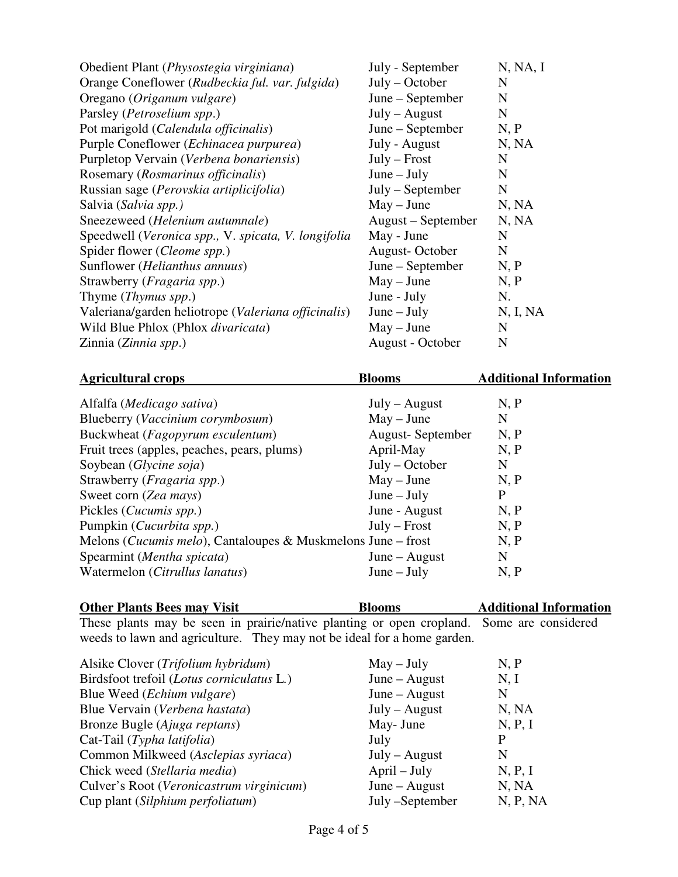| Obedient Plant (Physostegia virginiana)             | July - September   | N, NA, I |
|-----------------------------------------------------|--------------------|----------|
| Orange Coneflower (Rudbeckia ful. var. fulgida)     | $July - October$   | N        |
| Oregano (Origanum vulgare)                          | June – September   | N        |
| Parsley ( <i>Petroselium spp.</i> )                 | $July - August$    | N        |
| Pot marigold (Calendula officinalis)                | June – September   | N, P     |
| Purple Coneflower ( <i>Echinacea purpurea</i> )     | July - August      | N, NA    |
| Purpletop Vervain (Verbena bonariensis)             | $July - Frost$     | N        |
| Rosemary (Rosmarinus officinalis)                   | $June - July$      | N        |
| Russian sage (Perovskia artiplicifolia)             | July – September   | N        |
| Salvia (Salvia spp.)                                | $May - June$       | N, NA    |
| Sneezeweed (Helenium autumnale)                     | August – September | N, NA    |
| Speedwell (Veronica spp., V. spicata, V. longifolia | May - June         | N        |
| Spider flower ( <i>Cleome spp.</i> )                | August-October     | N        |
| Sunflower (Helianthus annuus)                       | June – September   | N, P     |
| Strawberry (Fragaria spp.)                          | $May - June$       | N, P     |
| Thyme ( <i>Thymus spp.</i> )                        | June - July        | N.       |
| Valeriana/garden heliotrope (Valeriana officinalis) | $June - July$      | N, I, NA |
| Wild Blue Phlox (Phlox divaricata)                  | $May - June$       | N        |
| Zinnia (Zinnia spp.)                                | August - October   | N        |

| <b>Agricultural crops</b>                                    | <b>Blooms</b>    | <b>Additional Information</b> |
|--------------------------------------------------------------|------------------|-------------------------------|
| Alfalfa ( <i>Medicago sativa</i> )                           | $July - August$  | N, P                          |
| Blueberry (Vaccinium corymbosum)                             | $May - June$     | N                             |
| Buckwheat (Fagopyrum esculentum)                             | August-September | N, P                          |
| Fruit trees (apples, peaches, pears, plums)                  | April-May        | N, P                          |
| Soybean (Glycine soja)                                       | $July - October$ | N                             |
| Strawberry ( <i>Fragaria spp.</i> )                          | $May - June$     | N, P                          |
| Sweet corn (Zea mays)                                        | $June - July$    | P                             |
| Pickles ( <i>Cucumis spp.</i> )                              | June - August    | N, P                          |
| Pumpkin (Cucurbita spp.)                                     | $July - Frost$   | N, P                          |
| Melons (Cucumis melo), Cantaloupes & Muskmelons June – frost |                  | N, P                          |
| Spearmint (Mentha spicata)                                   | $June - August$  | N                             |
| Watermelon (Citrullus lanatus)                               | $June - July$    | N, P                          |

| <b>Other Plants Bees may Visit</b> | <b>Blooms</b>                                                                             | <b>Additional Information</b> |
|------------------------------------|-------------------------------------------------------------------------------------------|-------------------------------|
|                                    | These plants may be seen in prairie/native planting or open cropland. Some are considered |                               |
|                                    | weeds to lawn and agriculture. They may not be ideal for a home garden.                   |                               |

| Alsike Clover ( <i>Trifolium hybridum</i> ) | $May - July$    | N, P     |
|---------------------------------------------|-----------------|----------|
| Birdsfoot trefoil (Lotus corniculatus L.)   | $June - August$ | N, I     |
| Blue Weed ( <i>Echium vulgare</i> )         | $June - August$ | N        |
| Blue Vervain (Verbena hastata)              | $July - August$ | N, NA    |
| Bronze Bugle (Ajuga reptans)                | May- June       | N, P, I  |
| Cat-Tail (Typha latifolia)                  | July            |          |
| Common Milkweed (Asclepias syriaca)         | $July - August$ | N        |
| Chick weed (Stellaria media)                | $April - July$  | N, P, I  |
| Culver's Root (Veronicastrum virginicum)    | $June - August$ | N, NA    |
| Cup plant (Silphium perfoliatum)            | July –September | N, P, NA |